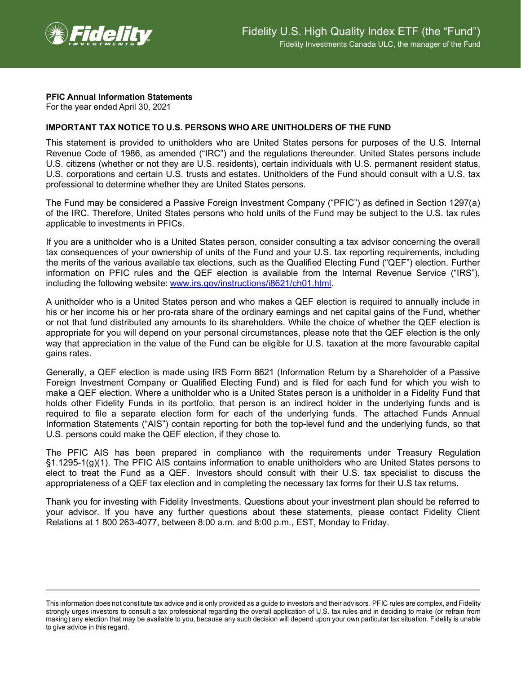

## **PFIC Annual Information Statements**

For the year ended April 30, 2021

## **IMPORTANT TAX NOTICE TO U.S. PERSONS WHO ARE UNITHOLDERS OF THE FUND**

This statement is provided to unitholders who are United States persons for purposes of the U.S. Internal Revenue Code of 1986, as amended ("IRC") and the regulations thereunder. United States persons include U.S. citizens (whether or not they are U.S. residents), certain individuals with U.S. permanent resident status, U.S. corporations and certain U.S. trusts and estates. Unitholders of the Fund should consult with a U.S. tax professional to determine whether they are United States persons.

The Fund may be considered a Passive Foreign Investment Company ("PFIC") as defined in Section 1297(a) of the IRC. Therefore, United States persons who hold units of the Fund may be subject to the U.S. tax rules applicable to investments in PFICs.

If you are a unitholder who is a United States person, consider consulting a tax advisor concerning the overall tax consequences of your ownership of units of the Fund and your U.S. tax reporting requirements, including the merits of the various available tax elections, such as the Qualified Electing Fund ("QEF") election. Further information on PFIC rules and the QEF election is available from the Internal Revenue Service ("IRS"), including the following website: [www.irs.gov/instructions/i8621/ch01.html.](http://www.irs.gov/instructions/i8621/ch01.html)

A unitholder who is a United States person and who makes a QEF election is required to annually include in his or her income his or her pro-rata share of the ordinary earnings and net capital gains of the Fund, whether or not that fund distributed any amounts to its shareholders. While the choice of whether the QEF election is appropriate for you will depend on your personal circumstances, please note that the QEF election is the only way that appreciation in the value of the Fund can be eligible for U.S. taxation at the more favourable capital gains rates.

Generally, a QEF election is made using IRS Form 8621 (Information Return by a Shareholder of a Passive Foreign Investment Company or Qualified Electing Fund) and is filed for each fund for which you wish to make a QEF election. Where a unitholder who is a United States person is a unitholder in a Fidelity Fund that holds other Fidelity Funds in its portfolio, that person is an indirect holder in the underlying funds and is required to file a separate election form for each of the underlying funds. The attached Funds Annual Information Statements ("AIS") contain reporting for both the top-level fund and the underlying funds, so that U.S. persons could make the QEF election, if they chose to.

The PFIC AIS has been prepared in compliance with the requirements under Treasury Regulation §1.1295-1(g)(1). The PFIC AIS contains information to enable unitholders who are United States persons to elect to treat the Fund as a QEF. Investors should consult with their U.S. tax specialist to discuss the appropriateness of a QEF tax election and in completing the necessary tax forms for their U.S tax returns.

Thank you for investing with Fidelity Investments. Questions about your investment plan should be referred to your advisor. If you have any further questions about these statements, please contact Fidelity Client Relations at 1 800 263-4077, between 8:00 a.m. and 8:00 p.m., EST, Monday to Friday.

This information does not constitute tax advice and is only provided as a guide to investors and their advisors. PFIC rules are complex, and Fidelity strongly urges investors to consult a tax professional regarding the overall application of U.S. tax rules and in deciding to make (or refrain from making) any election that may be available to you, because any such decision will depend upon your own particular tax situation. Fidelity is unable to give advice in this regard.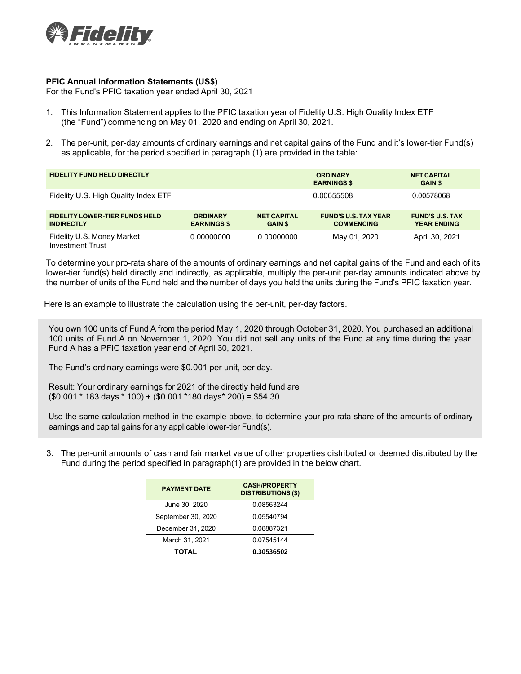

## **PFIC Annual Information Statements (US\$)**

For the Fund's PFIC taxation year ended April 30, 2021

- 1. This Information Statement applies to the PFIC taxation year of Fidelity U.S. High Quality Index ETF (the "Fund") commencing on May 01, 2020 and ending on April 30, 2021.
- 2. The per-unit, per-day amounts of ordinary earnings and net capital gains of the Fund and it's lower-tier Fund(s) as applicable, for the period specified in paragraph (1) are provided in the table:

| <b>FIDELITY FUND HELD DIRECTLY</b>                         |                                       |                                      | <b>ORDINARY</b><br><b>EARNINGS \$</b>            | <b>NET CAPITAL</b><br><b>GAIN \$</b>         |
|------------------------------------------------------------|---------------------------------------|--------------------------------------|--------------------------------------------------|----------------------------------------------|
| Fidelity U.S. High Quality Index ETF                       |                                       |                                      | 0.00655508                                       | 0.00578068                                   |
| <b>FIDELITY LOWER-TIER FUNDS HELD</b><br><b>INDIRECTLY</b> | <b>ORDINARY</b><br><b>EARNINGS \$</b> | <b>NET CAPITAL</b><br><b>GAIN \$</b> | <b>FUND'S U.S. TAX YEAR</b><br><b>COMMENCING</b> | <b>FUND'S U.S. TAX</b><br><b>YEAR ENDING</b> |
| Fidelity U.S. Money Market<br>Investment Trust             | 0.00000000                            | 0.00000000                           | May 01, 2020                                     | April 30, 2021                               |

To determine your pro-rata share of the amounts of ordinary earnings and net capital gains of the Fund and each of its lower-tier fund(s) held directly and indirectly, as applicable, multiply the per-unit per-day amounts indicated above by the number of units of the Fund held and the number of days you held the units during the Fund's PFIC taxation year.

Here is an example to illustrate the calculation using the per-unit, per-day factors.

You own 100 units of Fund A from the period May 1, 2020 through October 31, 2020. You purchased an additional 100 units of Fund A on November 1, 2020. You did not sell any units of the Fund at any time during the year. Fund A has a PFIC taxation year end of April 30, 2021.

The Fund's ordinary earnings were \$0.001 per unit, per day.

Result: Your ordinary earnings for 2021 of the directly held fund are (\$0.001 \* 183 days \* 100) + (\$0.001 \*180 days\* 200) = \$54.30

Use the same calculation method in the example above, to determine your pro-rata share of the amounts of ordinary earnings and capital gains for any applicable lower-tier Fund(s).

3. The per-unit amounts of cash and fair market value of other properties distributed or deemed distributed by the Fund during the period specified in paragraph(1) are provided in the below chart.

| <b>PAYMENT DATE</b> | <b>CASH/PROPERTY</b><br><b>DISTRIBUTIONS (\$)</b> |  |  |
|---------------------|---------------------------------------------------|--|--|
| June 30, 2020       | 0.08563244                                        |  |  |
| September 30, 2020  | 0.05540794                                        |  |  |
| December 31, 2020   | 0.08887321                                        |  |  |
| March 31, 2021      | 0.07545144                                        |  |  |
| <b>TOTAL</b>        | 0.30536502                                        |  |  |